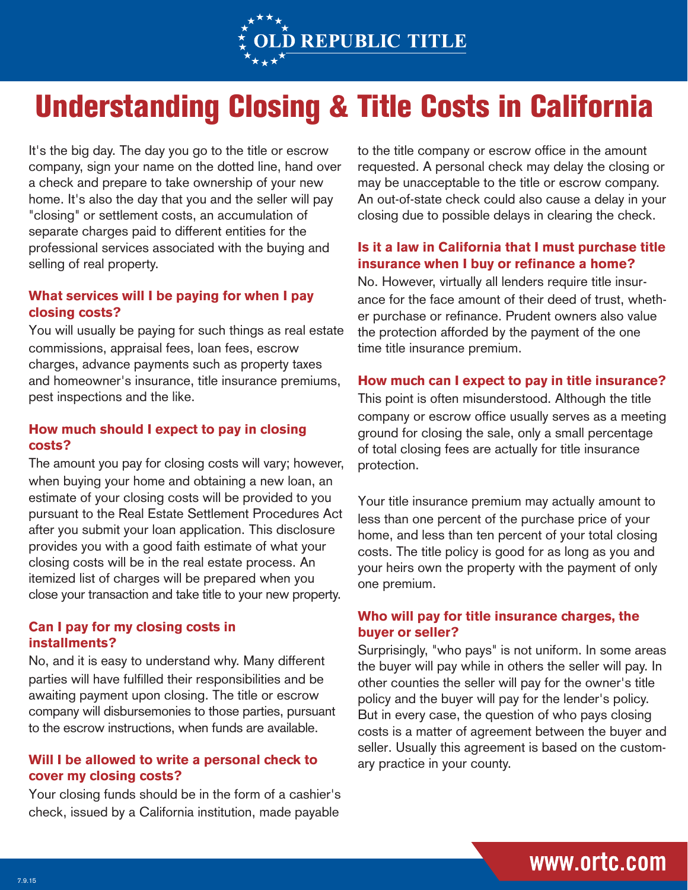

## Understanding Closing & Title Costs in California

It's the big day. The day you go to the title or escrow company, sign your name on the dotted line, hand over a check and prepare to take ownership of your new home. It's also the day that you and the seller will pay "closing" or settlement costs, an accumulation of separate charges paid to different entities for the professional services associated with the buying and selling of real property.

## **What services will I be paying for when I pay closing costs?**

You will usually be paying for such things as real estate commissions, appraisal fees, loan fees, escrow charges, advance payments such as property taxes and homeowner's insurance, title insurance premiums, pest inspections and the like.

## **How much should I expect to pay in closing costs?**

The amount you pay for closing costs will vary; however, when buying your home and obtaining a new loan, an estimate of your closing costs will be provided to you pursuant to the Real Estate Settlement Procedures Act after you submit your loan application. This disclosure provides you with a good faith estimate of what your closing costs will be in the real estate process. An itemized list of charges will be prepared when you close your transaction and take title to your new property.

#### **Can I pay for my closing costs in installments?**

No, and it is easy to understand why. Many different parties will have fulfilled their responsibilities and be awaiting payment upon closing. The title or escrow company will disbursemonies to those parties, pursuant to the escrow instructions, when funds are available.

## **Will I be allowed to write a personal check to cover my closing costs?**

Your closing funds should be in the form of a cashier's check, issued by a California institution, made payable

to the title company or escrow office in the amount requested. A personal check may delay the closing or may be unacceptable to the title or escrow company. An out-of-state check could also cause a delay in your closing due to possible delays in clearing the check.

## **Is it a law in California that I must purchase title insurance when I buy or refinance a home?**

No. However, virtually all lenders require title insurance for the face amount of their deed of trust, whether purchase or refinance. Prudent owners also value the protection afforded by the payment of the one time title insurance premium.

#### **How much can I expect to pay in title insurance?**

This point is often misunderstood. Although the title company or escrow office usually serves as a meeting ground for closing the sale, only a small percentage of total closing fees are actually for title insurance protection.

Your title insurance premium may actually amount to less than one percent of the purchase price of your home, and less than ten percent of your total closing costs. The title policy is good for as long as you and your heirs own the property with the payment of only one premium.

## **Who will pay for title insurance charges, the buyer or seller?**

Surprisingly, "who pays" is not uniform. In some areas the buyer will pay while in others the seller will pay. In other counties the seller will pay for the owner's title policy and the buyer will pay for the lender's policy. But in every case, the question of who pays closing costs is a matter of agreement between the buyer and seller. Usually this agreement is based on the customary practice in your county.